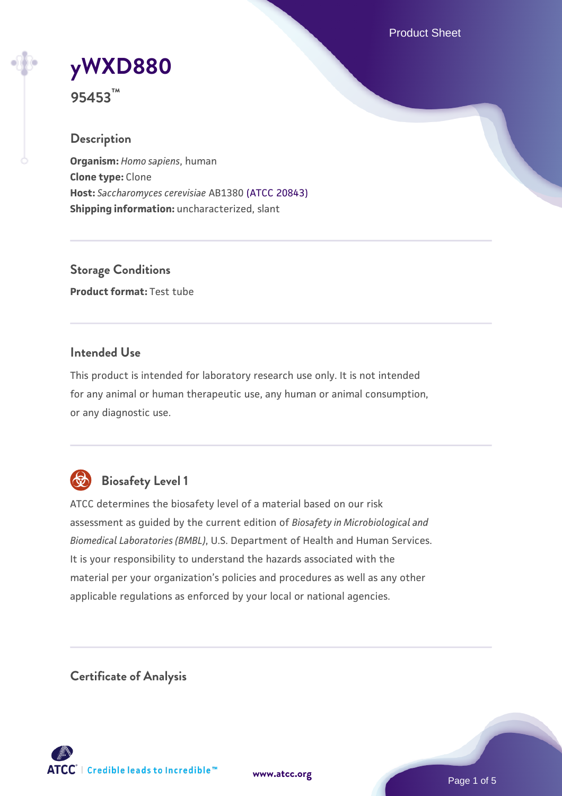Product Sheet

# **[yWXD880](https://www.atcc.org/products/95453)**

**95453™**

## **Description**

**Organism:** *Homo sapiens*, human **Clone type:** Clone **Host:** *Saccharomyces cerevisiae* AB1380 [\(ATCC 20843\)](https://www.atcc.org/products/20843) **Shipping information:** uncharacterized, slant

**Storage Conditions Product format:** Test tube

## **Intended Use**

This product is intended for laboratory research use only. It is not intended for any animal or human therapeutic use, any human or animal consumption, or any diagnostic use.



## **Biosafety Level 1**

ATCC determines the biosafety level of a material based on our risk assessment as guided by the current edition of *Biosafety in Microbiological and Biomedical Laboratories (BMBL)*, U.S. Department of Health and Human Services. It is your responsibility to understand the hazards associated with the material per your organization's policies and procedures as well as any other applicable regulations as enforced by your local or national agencies.

**Certificate of Analysis**

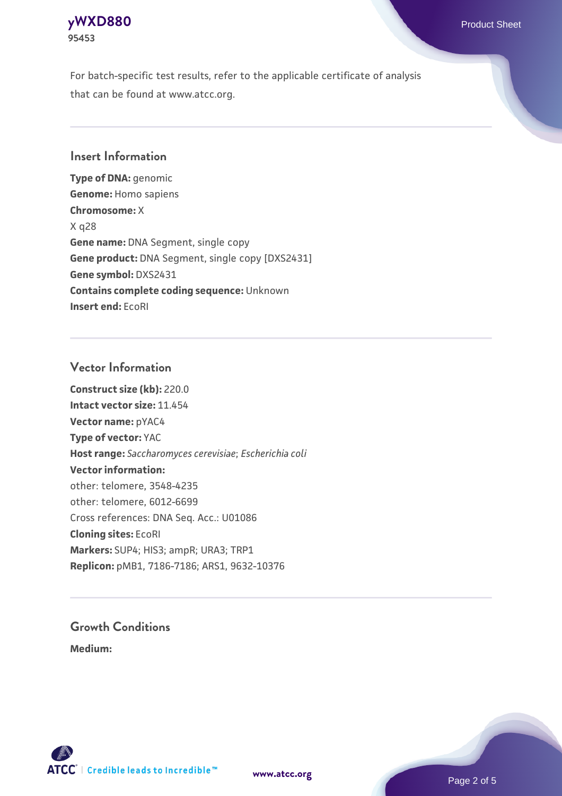## **[yWXD880](https://www.atcc.org/products/95453)** Product Sheet **95453**

For batch-specific test results, refer to the applicable certificate of analysis that can be found at www.atcc.org.

## **Insert Information**

**Type of DNA:** genomic **Genome:** Homo sapiens **Chromosome:** X X q28 **Gene name:** DNA Segment, single copy **Gene product:** DNA Segment, single copy [DXS2431] **Gene symbol:** DXS2431 **Contains complete coding sequence:** Unknown **Insert end:** EcoRI

## **Vector Information**

**Construct size (kb):** 220.0 **Intact vector size:** 11.454 **Vector name:** pYAC4 **Type of vector:** YAC **Host range:** *Saccharomyces cerevisiae*; *Escherichia coli* **Vector information:** other: telomere, 3548-4235 other: telomere, 6012-6699 Cross references: DNA Seq. Acc.: U01086 **Cloning sites:** EcoRI **Markers:** SUP4; HIS3; ampR; URA3; TRP1 **Replicon:** pMB1, 7186-7186; ARS1, 9632-10376

# **Growth Conditions**

**Medium:** 



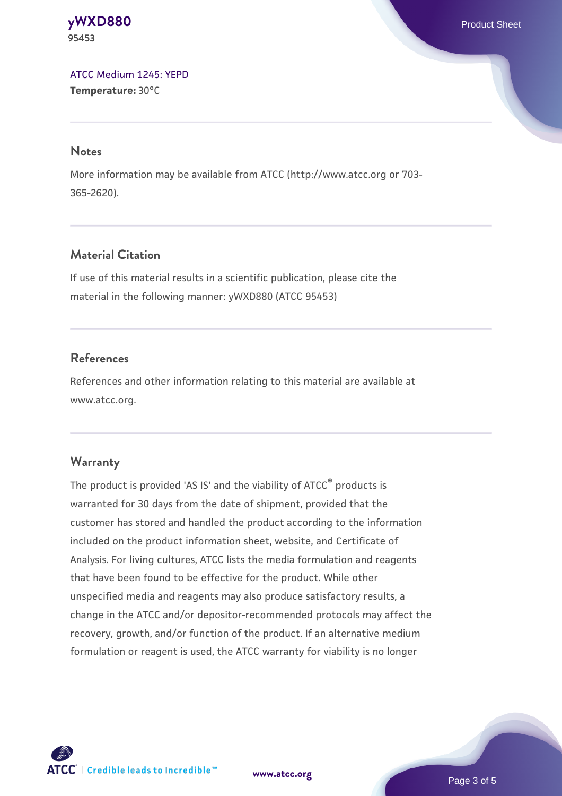**[yWXD880](https://www.atcc.org/products/95453)** Product Sheet **95453**

[ATCC Medium 1245: YEPD](https://www.atcc.org/-/media/product-assets/documents/microbial-media-formulations/1/2/4/5/atcc-medium-1245.pdf?rev=705ca55d1b6f490a808a965d5c072196) **Temperature:** 30°C

#### **Notes**

More information may be available from ATCC (http://www.atcc.org or 703- 365-2620).

## **Material Citation**

If use of this material results in a scientific publication, please cite the material in the following manner: yWXD880 (ATCC 95453)

## **References**

References and other information relating to this material are available at www.atcc.org.

#### **Warranty**

The product is provided 'AS IS' and the viability of ATCC® products is warranted for 30 days from the date of shipment, provided that the customer has stored and handled the product according to the information included on the product information sheet, website, and Certificate of Analysis. For living cultures, ATCC lists the media formulation and reagents that have been found to be effective for the product. While other unspecified media and reagents may also produce satisfactory results, a change in the ATCC and/or depositor-recommended protocols may affect the recovery, growth, and/or function of the product. If an alternative medium formulation or reagent is used, the ATCC warranty for viability is no longer



**[www.atcc.org](http://www.atcc.org)**

Page 3 of 5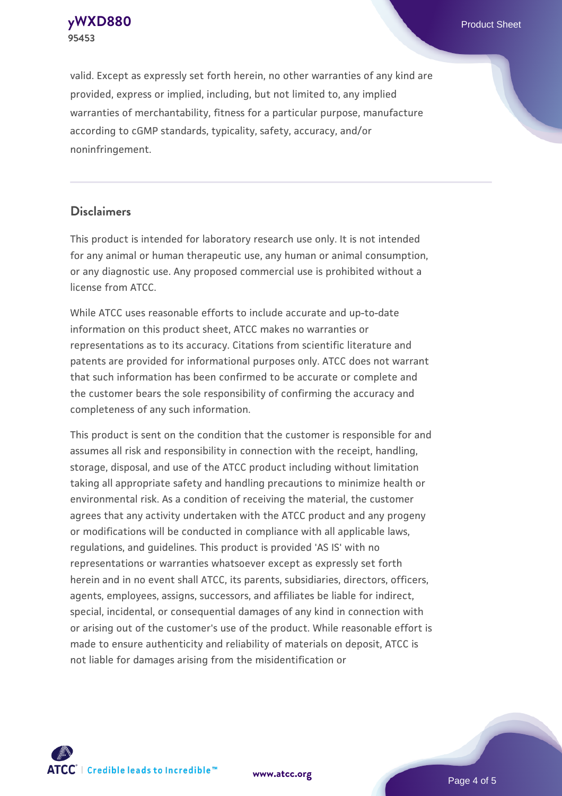**[yWXD880](https://www.atcc.org/products/95453)** Product Sheet **95453**

valid. Except as expressly set forth herein, no other warranties of any kind are provided, express or implied, including, but not limited to, any implied warranties of merchantability, fitness for a particular purpose, manufacture according to cGMP standards, typicality, safety, accuracy, and/or noninfringement.

#### **Disclaimers**

This product is intended for laboratory research use only. It is not intended for any animal or human therapeutic use, any human or animal consumption, or any diagnostic use. Any proposed commercial use is prohibited without a license from ATCC.

While ATCC uses reasonable efforts to include accurate and up-to-date information on this product sheet, ATCC makes no warranties or representations as to its accuracy. Citations from scientific literature and patents are provided for informational purposes only. ATCC does not warrant that such information has been confirmed to be accurate or complete and the customer bears the sole responsibility of confirming the accuracy and completeness of any such information.

This product is sent on the condition that the customer is responsible for and assumes all risk and responsibility in connection with the receipt, handling, storage, disposal, and use of the ATCC product including without limitation taking all appropriate safety and handling precautions to minimize health or environmental risk. As a condition of receiving the material, the customer agrees that any activity undertaken with the ATCC product and any progeny or modifications will be conducted in compliance with all applicable laws, regulations, and guidelines. This product is provided 'AS IS' with no representations or warranties whatsoever except as expressly set forth herein and in no event shall ATCC, its parents, subsidiaries, directors, officers, agents, employees, assigns, successors, and affiliates be liable for indirect, special, incidental, or consequential damages of any kind in connection with or arising out of the customer's use of the product. While reasonable effort is made to ensure authenticity and reliability of materials on deposit, ATCC is not liable for damages arising from the misidentification or



**[www.atcc.org](http://www.atcc.org)**

Page 4 of 5